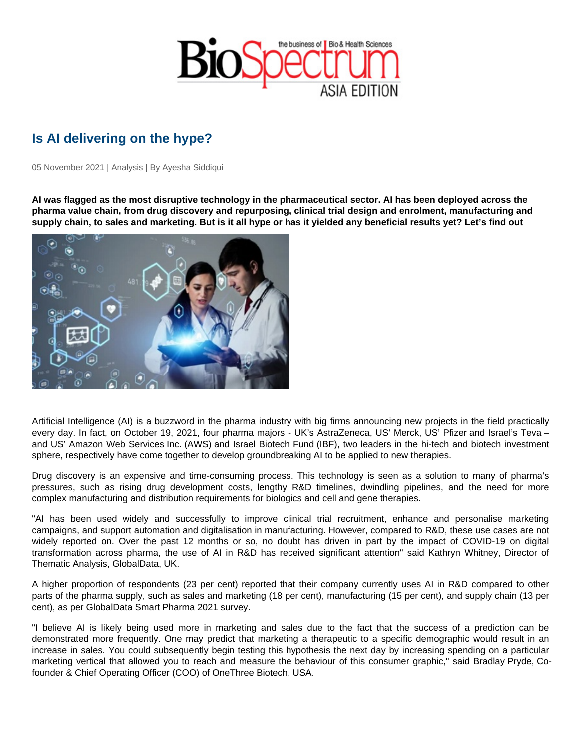## Is AI delivering on the hype?

05 November 2021 | Analysis | By Ayesha Siddiqui

AI was flagged as the most disruptive technology in the pharmaceutical sector. AI has been deployed across the pharma value chain, from drug discovery and repurposing, clinical trial design and enrolment, manufacturing and supply chain, to sales and marketing. But is it all hype or has it yielded any beneficial results yet? Let's find out

Artificial Intelligence (AI) is a buzzword in the pharma industry with big firms announcing new projects in the field practically every day. In fact, on October 19, 2021, four pharma majors - UK's AstraZeneca, US' Merck, US' Pfizer and Israel's Teva – and US' Amazon Web Services Inc. (AWS) and Israel Biotech Fund (IBF), two leaders in the hi-tech and biotech investment sphere, respectively have come together to develop groundbreaking AI to be applied to new therapies.

Drug discovery is an expensive and time-consuming process. This technology is seen as a solution to many of pharma's pressures, such as rising drug development costs, lengthy R&D timelines, dwindling pipelines, and the need for more complex manufacturing and distribution requirements for biologics and cell and gene therapies.

"AI has been used widely and successfully to improve clinical trial recruitment, enhance and personalise marketing campaigns, and support automation and digitalisation in manufacturing. However, compared to R&D, these use cases are not widely reported on. Over the past 12 months or so, no doubt has driven in part by the impact of COVID-19 on digital transformation across pharma, the use of AI in R&D has received significant attention" said Kathryn Whitney, Director of Thematic Analysis, GlobalData, UK.

A higher proportion of respondents (23 per cent) reported that their company currently uses AI in R&D compared to other parts of the pharma supply, such as sales and marketing (18 per cent), manufacturing (15 per cent), and supply chain (13 per cent), as per GlobalData Smart Pharma 2021 survey.

"I believe AI is likely being used more in marketing and sales due to the fact that the success of a prediction can be demonstrated more frequently. One may predict that marketing a therapeutic to a specific demographic would result in an increase in sales. You could subsequently begin testing this hypothesis the next day by increasing spending on a particular marketing vertical that allowed you to reach and measure the behaviour of this consumer graphic," said Bradlay Pryde, Cofounder & Chief Operating Officer (COO) of OneThree Biotech, USA.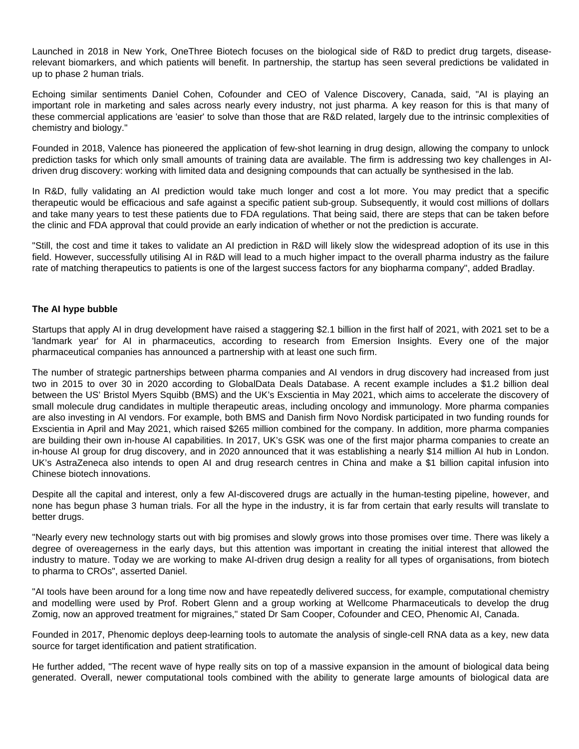Launched in 2018 in New York, OneThree Biotech focuses on the biological side of R&D to predict drug targets, diseaserelevant biomarkers, and which patients will benefit. In partnership, the startup has seen several predictions be validated in up to phase 2 human trials.

Echoing similar sentiments Daniel Cohen, Cofounder and CEO of Valence Discovery, Canada, said, "AI is playing an important role in marketing and sales across nearly every industry, not just pharma. A key reason for this is that many of these commercial applications are 'easier' to solve than those that are R&D related, largely due to the intrinsic complexities of chemistry and biology."

Founded in 2018, Valence has pioneered the application of few-shot learning in drug design, allowing the company to unlock prediction tasks for which only small amounts of training data are available. The firm is addressing two key challenges in AIdriven drug discovery: working with limited data and designing compounds that can actually be synthesised in the lab.

In R&D, fully validating an AI prediction would take much longer and cost a lot more. You may predict that a specific therapeutic would be efficacious and safe against a specific patient sub-group. Subsequently, it would cost millions of dollars and take many years to test these patients due to FDA regulations. That being said, there are steps that can be taken before the clinic and FDA approval that could provide an early indication of whether or not the prediction is accurate.

"Still, the cost and time it takes to validate an AI prediction in R&D will likely slow the widespread adoption of its use in this field. However, successfully utilising AI in R&D will lead to a much higher impact to the overall pharma industry as the failure rate of matching therapeutics to patients is one of the largest success factors for any biopharma company", added Bradlay.

## **The AI hype bubble**

Startups that apply AI in drug development have raised a staggering \$2.1 billion in the first half of 2021, with 2021 set to be a 'landmark year' for AI in pharmaceutics, according to research from Emersion Insights. Every one of the major pharmaceutical companies has announced a partnership with at least one such firm.

The number of strategic partnerships between pharma companies and AI vendors in drug discovery had increased from just two in 2015 to over 30 in 2020 according to GlobalData Deals Database. A recent example includes a \$1.2 billion deal between the US' Bristol Myers Squibb (BMS) and the UK's Exscientia in May 2021, which aims to accelerate the discovery of small molecule drug candidates in multiple therapeutic areas, including oncology and immunology. More pharma companies are also investing in AI vendors. For example, both BMS and Danish firm Novo Nordisk participated in two funding rounds for Exscientia in April and May 2021, which raised \$265 million combined for the company. In addition, more pharma companies are building their own in-house AI capabilities. In 2017, UK's GSK was one of the first major pharma companies to create an in-house AI group for drug discovery, and in 2020 announced that it was establishing a nearly \$14 million AI hub in London. UK's AstraZeneca also intends to open AI and drug research centres in China and make a \$1 billion capital infusion into Chinese biotech innovations.

Despite all the capital and interest, only a few AI-discovered drugs are actually in the human-testing pipeline, however, and none has begun phase 3 human trials. For all the hype in the industry, it is far from certain that early results will translate to better drugs.

"Nearly every new technology starts out with big promises and slowly grows into those promises over time. There was likely a degree of overeagerness in the early days, but this attention was important in creating the initial interest that allowed the industry to mature. Today we are working to make AI-driven drug design a reality for all types of organisations, from biotech to pharma to CROs", asserted Daniel.

"AI tools have been around for a long time now and have repeatedly delivered success, for example, computational chemistry and modelling were used by Prof. Robert Glenn and a group working at Wellcome Pharmaceuticals to develop the drug Zomig, now an approved treatment for migraines," stated Dr Sam Cooper, Cofounder and CEO, Phenomic AI, Canada.

Founded in 2017, Phenomic deploys deep-learning tools to automate the analysis of single-cell RNA data as a key, new data source for target identification and patient stratification.

He further added, "The recent wave of hype really sits on top of a massive expansion in the amount of biological data being generated. Overall, newer computational tools combined with the ability to generate large amounts of biological data are